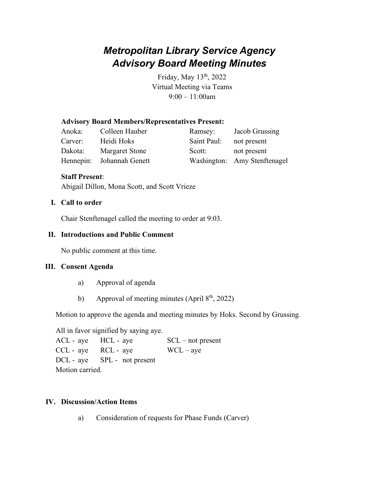# *Metropolitan Library Service Agency Advisory Board Meeting Minutes*

Friday, May 13<sup>th</sup>, 2022 Virtual Meeting via Teams 9:00 – 11:00am

#### **Advisory Board Members/Representatives Present:**

| Anoka:  | Colleen Hauber            | Ramsey:     | Jacob Grussing               |
|---------|---------------------------|-------------|------------------------------|
| Carver: | Heidi Hoks                | Saint Paul: | not present                  |
| Dakota: | <b>Margaret Stone</b>     | Scott:      | not present                  |
|         | Hennepin: Johannah Genett |             | Washington: Amy Stenftenagel |

#### **Staff Present**:

Abigail Dillon, Mona Scott, and Scott Vrieze

#### **I. Call to order**

Chair Stenftenagel called the meeting to order at 9:03.

#### **II. Introductions and Public Comment**

No public comment at this time.

#### **III. Consent Agenda**

- a) Approval of agenda
- b) Approval of meeting minutes (April  $8<sup>th</sup>$ , 2022)

Motion to approve the agenda and meeting minutes by Hoks. Second by Grussing.

All in favor signified by saying aye.

 $ACL$  - aye  $HCL$  - aye  $SCL$  – not present  $CCL - aye$  RCL - aye WCL – aye DCL - aye SPL - not present Motion carried.

#### **IV. Discussion/Action Items**

a) Consideration of requests for Phase Funds (Carver)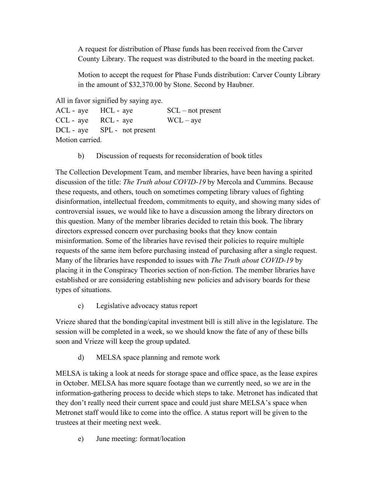A request for distribution of Phase funds has been received from the Carver County Library. The request was distributed to the board in the meeting packet.

Motion to accept the request for Phase Funds distribution: Carver County Library in the amount of \$32,370.00 by Stone. Second by Haubner.

All in favor signified by saying aye.

| ACL - aye HCL - aye   |                             | $SCL$ – not present |
|-----------------------|-----------------------------|---------------------|
| $CCL - aye$ RCL - aye |                             | $WCL - ave$         |
|                       | DCL - aye SPL - not present |                     |
| Motion carried.       |                             |                     |

b) Discussion of requests for reconsideration of book titles

The Collection Development Team, and member libraries, have been having a spirited discussion of the title: *The Truth about COVID-19* by Mercola and Cummins. Because these requests, and others, touch on sometimes competing library values of fighting disinformation, intellectual freedom, commitments to equity, and showing many sides of controversial issues, we would like to have a discussion among the library directors on this question. Many of the member libraries decided to retain this book. The library directors expressed concern over purchasing books that they know contain misinformation. Some of the libraries have revised their policies to require multiple requests of the same item before purchasing instead of purchasing after a single request. Many of the libraries have responded to issues with *The Truth about COVID-19* by placing it in the Conspiracy Theories section of non-fiction. The member libraries have established or are considering establishing new policies and advisory boards for these types of situations.

c) Legislative advocacy status report

Vrieze shared that the bonding/capital investment bill is still alive in the legislature. The session will be completed in a week, so we should know the fate of any of these bills soon and Vrieze will keep the group updated.

d) MELSA space planning and remote work

MELSA is taking a look at needs for storage space and office space, as the lease expires in October. MELSA has more square footage than we currently need, so we are in the information-gathering process to decide which steps to take. Metronet has indicated that they don't really need their current space and could just share MELSA's space when Metronet staff would like to come into the office. A status report will be given to the trustees at their meeting next week.

e) June meeting: format/location